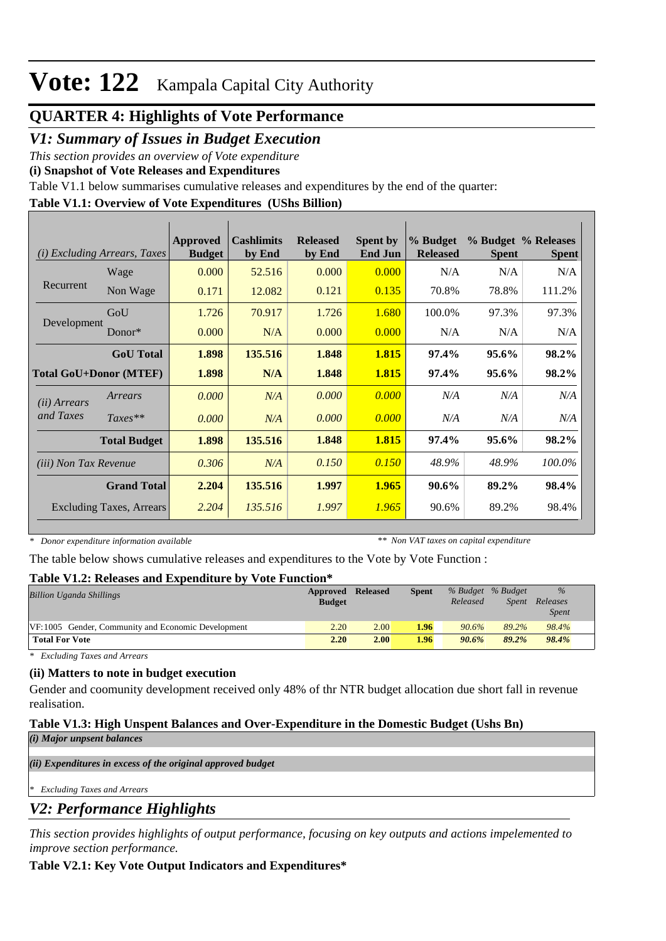# **Vote: 122** Kampala Capital City Authority

# **QUARTER 4: Highlights of Vote Performance**

# *V1: Summary of Issues in Budget Execution*

*This section provides an overview of Vote expenditure* 

**(i) Snapshot of Vote Releases and Expenditures**

Table V1.1 below summarises cumulative releases and expenditures by the end of the quarter:

### **Table V1.1: Overview of Vote Expenditures (UShs Billion)**

| (i)                           | <b>Excluding Arrears, Taxes</b> | <b>Approved</b><br><b>Budget</b> | <b>Cashlimits</b><br>by End | <b>Released</b><br>by End | <b>Spent by</b><br><b>End Jun</b> | % Budget<br><b>Released</b> | <b>Spent</b> | % Budget % Releases<br><b>Spent</b> |
|-------------------------------|---------------------------------|----------------------------------|-----------------------------|---------------------------|-----------------------------------|-----------------------------|--------------|-------------------------------------|
|                               | Wage                            | 0.000                            | 52.516                      | 0.000                     | 0.000                             | N/A                         | N/A          | N/A                                 |
| Recurrent                     | Non Wage                        | 0.171                            | 12.082                      | 0.121                     | 0.135                             | 70.8%                       | 78.8%        | 111.2%                              |
|                               | GoU                             | 1.726                            | 70.917                      | 1.726                     | 1.680                             | 100.0%                      | 97.3%        | 97.3%                               |
| Development                   | Donor $*$                       | 0.000                            | N/A                         | 0.000                     | 0.000                             | N/A                         | N/A          | N/A                                 |
|                               | <b>GoU</b> Total                | 1.898                            | 135.516                     | 1.848                     | 1.815                             | 97.4%                       | 95.6%        | 98.2%                               |
| <b>Total GoU+Donor (MTEF)</b> |                                 | 1.898                            | N/A                         | 1.848                     | 1.815                             | 97.4%                       | 95.6%        | 98.2%                               |
| ( <i>ii</i> ) Arrears         | Arrears                         | 0.000                            | N/A                         | 0.000                     | 0.000                             | N/A                         | N/A          | N/A                                 |
| and Taxes                     | $Taxes**$                       | 0.000                            | N/A                         | 0.000                     | 0.000                             | N/A                         | N/A          | N/A                                 |
|                               | <b>Total Budget</b>             | 1.898                            | 135.516                     | 1.848                     | 1.815                             | 97.4%                       | 95.6%        | 98.2%                               |
| (iii) Non Tax Revenue         |                                 | 0.306                            | N/A                         | 0.150                     | 0.150                             | 48.9%                       | 48.9%        | 100.0%                              |
|                               | <b>Grand Total</b>              | 2.204                            | 135.516                     | 1.997                     | 1.965                             | 90.6%                       | 89.2%        | 98.4%                               |
|                               | <b>Excluding Taxes, Arrears</b> | 2.204                            | 135.516                     | 1.997                     | 1.965                             | 90.6%                       | 89.2%        | 98.4%                               |

*\* Donor expenditure information available*

*\*\* Non VAT taxes on capital expenditure*

The table below shows cumulative releases and expenditures to the Vote by Vote Function :

#### **Table V1.2: Releases and Expenditure by Vote Function\***

| <b>Billion Uganda Shillings</b>                    | Approved      | <b>Released</b> | <b>Spent</b> |          | % Budget % Budget | $\%$         |  |
|----------------------------------------------------|---------------|-----------------|--------------|----------|-------------------|--------------|--|
|                                                    | <b>Budget</b> |                 |              | Released | <i>Spent</i>      | Releases     |  |
|                                                    |               |                 |              |          |                   | <i>Spent</i> |  |
| VF:1005 Gender, Community and Economic Development | 2.20          | 2.00            | 1.96         | 90.6%    | 89.2%             | 98.4%        |  |
| <b>Total For Vote</b>                              | 2.20          | 2.00            | 1.96         | 90.6%    | 89.2%             | 98.4%        |  |

*\* Excluding Taxes and Arrears*

### **(ii) Matters to note in budget execution**

Gender and coomunity development received only 48% of thr NTR budget allocation due short fall in revenue realisation.

# **Table V1.3: High Unspent Balances and Over-Expenditure in the Domestic Budget (Ushs Bn)**

*(i) Major unpsent balances*

*(ii) Expenditures in excess of the original approved budget*

*\* Excluding Taxes and Arrears*

# *V2: Performance Highlights*

*This section provides highlights of output performance, focusing on key outputs and actions impelemented to improve section performance.*

### **Table V2.1: Key Vote Output Indicators and Expenditures\***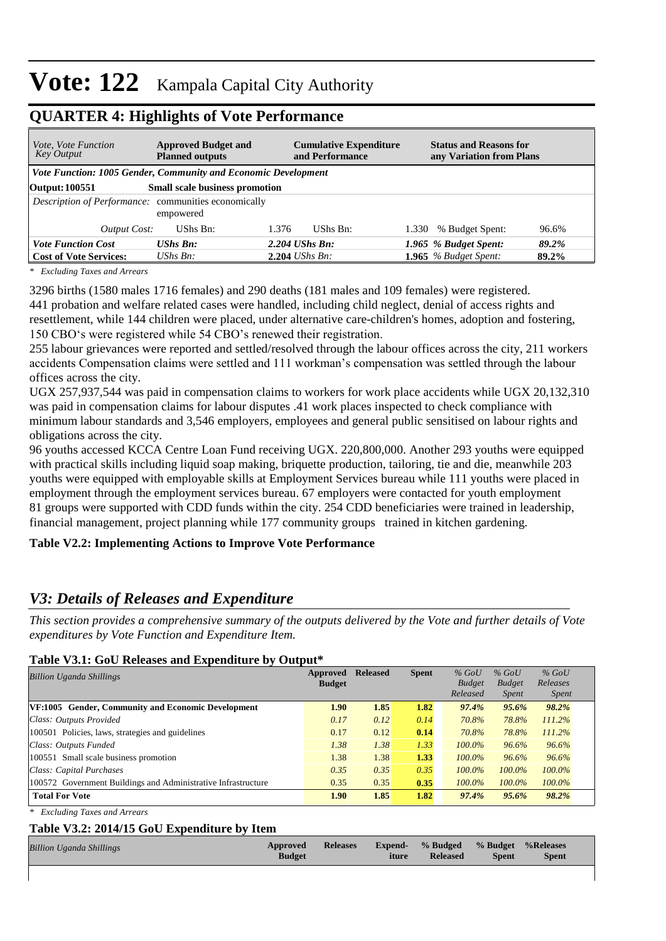# **Vote: 122** Kampala Capital City Authority

| <i>Vote, Vote Function</i><br><b>Key Output</b>                | <b>Approved Budget and</b><br><b>Planned outputs</b> | <b>Cumulative Expenditure</b><br>and Performance | <b>Status and Reasons for</b><br>any Variation from Plans |  |
|----------------------------------------------------------------|------------------------------------------------------|--------------------------------------------------|-----------------------------------------------------------|--|
| Vote Function: 1005 Gender, Community and Economic Development |                                                      |                                                  |                                                           |  |
| <b>Output: 100551</b>                                          | Small scale business promotion                       |                                                  |                                                           |  |
| Description of Performance: communities economically           | empowered                                            |                                                  |                                                           |  |
| Output Cost:                                                   | UShs Bn:                                             | 1.376<br>$UShs Bn:$                              | % Budget Spent:<br>96.6%<br>1.330                         |  |
| <b>Vote Function Cost</b>                                      | <b>UShs Bn:</b>                                      | $2.204$ UShs Bn:                                 | 1.965 % Budget Spent:<br>89.2%                            |  |
| <b>Cost of Vote Services:</b>                                  | UShs $Bn$ :                                          | $2.204$ UShs Bn:                                 | 1.965 $%$ Budget Spent:<br>89.2%                          |  |

## **QUARTER 4: Highlights of Vote Performance**

*\* Excluding Taxes and Arrears*

3296 births (1580 males 1716 females) and 290 deaths (181 males and 109 females) were registered. 441 probation and welfare related cases were handled, including child neglect, denial of access rights and resettlement, while 144 children were placed, under alternative care-children's homes, adoption and fostering, 150 CBO's were registered while 54 CBO's renewed their registration.

255 labour grievances were reported and settled/resolved through the labour offices across the city, 211 workers accidents Compensation claims were settled and 111 workman's compensation was settled through the labour offices across the city.

UGX 257,937,544 was paid in compensation claims to workers for work place accidents while UGX 20,132,310 was paid in compensation claims for labour disputes .41 work places inspected to check compliance with minimum labour standards and 3,546 employers, employees and general public sensitised on labour rights and obligations across the city.

96 youths accessed KCCA Centre Loan Fund receiving UGX. 220,800,000. Another 293 youths were equipped with practical skills including liquid soap making, briquette production, tailoring, tie and die, meanwhile 203 youths were equipped with employable skills at Employment Services bureau while 111 youths were placed in employment through the employment services bureau. 67 employers were contacted for youth employment 81 groups were supported with CDD funds within the city. 254 CDD beneficiaries were trained in leadership, financial management, project planning while 177 community groups trained in kitchen gardening.

### **Table V2.2: Implementing Actions to Improve Vote Performance**

# *V3: Details of Releases and Expenditure*

*This section provides a comprehensive summary of the outputs delivered by the Vote and further details of Vote expenditures by Vote Function and Expenditure Item.*

#### **Table V3.1: GoU Releases and Expenditure by Output\***

| Approved<br><b>Billion Uganda Shillings</b>                   |      | <b>Released</b> | <b>Spent</b> | $%$ GoU<br><b>Budget</b><br>Released | $%$ GoU<br><b>Budget</b> | $%$ GoU<br>Releases   |  |
|---------------------------------------------------------------|------|-----------------|--------------|--------------------------------------|--------------------------|-----------------------|--|
|                                                               | 1.90 | 1.85            | 1.82         | 97.4%                                | <i>Spent</i><br>95.6%    | <i>Spent</i><br>98.2% |  |
| <b>VF:1005</b> Gender, Community and Economic Development     |      |                 |              |                                      |                          |                       |  |
| Class: Outputs Provided                                       | 0.17 | 0.12            | 0.14         | 70.8%                                | 78.8%                    | 111.2%                |  |
| 100501 Policies, laws, strategies and guidelines              | 0.17 | 0.12            | 0.14         | 70.8%                                | 78.8%                    | 111.2%                |  |
| Class: Outputs Funded                                         | 1.38 | 1.38            | 1.33         | $100.0\%$                            | 96.6%                    | 96.6%                 |  |
| 100551 Small scale business promotion                         | 1.38 | 1.38            | 1.33         | $100.0\%$                            | 96.6%                    | 96.6%                 |  |
| Class: Capital Purchases                                      | 0.35 | 0.35            | 0.35         | $100.0\%$                            | 100.0%                   | 100.0%                |  |
| 100572 Government Buildings and Administrative Infrastructure | 0.35 | 0.35            | 0.35         | $100.0\%$                            | 100.0%                   | 100.0%                |  |
| <b>Total For Vote</b>                                         | 1.90 | 1.85            | 1.82         | 97.4%                                | 95.6%                    | 98.2%                 |  |

*\* Excluding Taxes and Arrears*

#### **Table V3.2: 2014/15 GoU Expenditure by Item**

| <b>Billion Uganda Shillings</b> | Approved<br><b>Budget</b> | <b>Releases</b> | iture | <b>Expend-</b> % Budged % Budget % Releases<br><b>Released</b> | <b>Spent</b> | <b>Spent</b> |  |
|---------------------------------|---------------------------|-----------------|-------|----------------------------------------------------------------|--------------|--------------|--|
|                                 |                           |                 |       |                                                                |              |              |  |